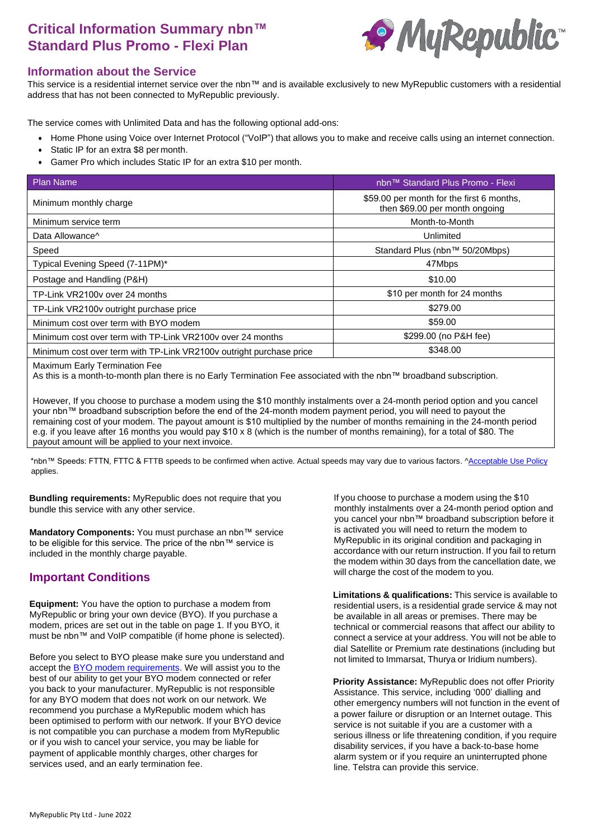# **Critical Information Summary nbn™ Standard Plus Promo - Flexi Plan**



#### **Information about the Service**

This service is a residential internet service over the nbn™ and is available exclusively to new MyRepublic customers with a residential address that has not been connected to MyRepublic previously.

The service comes with Unlimited Data and has the following optional add-ons:

- Home Phone using Voice over Internet Protocol ("VoIP") that allows you to make and receive calls using an internet connection.
- Static IP for an extra \$8 per month.
- Gamer Pro which includes Static IP for an extra \$10 per month.

| <b>Plan Name</b>                                                    | nbn™ Standard Plus Promo - Flexi                                            |  |
|---------------------------------------------------------------------|-----------------------------------------------------------------------------|--|
| Minimum monthly charge                                              | \$59.00 per month for the first 6 months,<br>then \$69.00 per month ongoing |  |
| Minimum service term                                                | Month-to-Month                                                              |  |
| Data Allowance <sup>^</sup>                                         | Unlimited                                                                   |  |
| Speed                                                               | Standard Plus (nbn™ 50/20Mbps)                                              |  |
| Typical Evening Speed (7-11PM)*                                     | 47Mbps                                                                      |  |
| Postage and Handling (P&H)                                          | \$10.00                                                                     |  |
| TP-Link VR2100y over 24 months                                      | \$10 per month for 24 months                                                |  |
| TP-Link VR2100v outright purchase price                             | \$279.00                                                                    |  |
| Minimum cost over term with BYO modem                               | \$59.00                                                                     |  |
| Minimum cost over term with TP-Link VR2100y over 24 months          | \$299.00 (no P&H fee)                                                       |  |
| Minimum cost over term with TP-Link VR2100v outright purchase price | \$348.00                                                                    |  |
|                                                                     |                                                                             |  |

Maximum Early Termination Fee

As this is a month-to-month plan there is no Early Termination Fee associated with the nbn™ broadband subscription.

However, If you choose to purchase a modem using the \$10 monthly instalments over a 24-month period option and you cancel your nbn™ broadband subscription before the end of the 24-month modem payment period, you will need to payout the remaining cost of your modem. The payout amount is \$10 multiplied by the number of months remaining in the 24-month period e.g. if you leave after 16 months you would pay \$10 x 8 (which is the number of months remaining), for a total of \$80. The payout amount will be applied to your next invoice.

\*nbn™ Speeds: FTTN, FTTC & FTTB speeds to be confirmed when active. Actual speeds may vary due to various factors. [^Acceptable Use](http://www.myrepublic.net/au/legal) Policy applies.

**Bundling requirements:** MyRepublic does not require that you bundle this service with any other service.

**Mandatory Components:** You must purchase an nbn™ service to be eligible for this service. The price of the nbn™ service is included in the monthly charge payable.

### **Important Conditions**

**Equipment:** You have the option to purchase a modem from MyRepublic or bring your own device (BYO). If you purchase a modem, prices are set out in the table on page 1. If you BYO, it must be nbn™ and VoIP compatible (if home phone is selected).

Before you select to BYO please make sure you understand and accept the **BYO** modem requirements. We will assist you to the best of our ability to get your BYO modem connected or refer you back to your manufacturer. MyRepublic is not responsible for any BYO modem that does not work on our network. We recommend you purchase a MyRepublic modem which has been optimised to perform with our network. If your BYO device is not compatible you can purchase a modem from MyRepublic or if you wish to cancel your service, you may be liable for payment of applicable monthly charges, other charges for services used, and an early termination fee.

If you choose to purchase a modem using the \$10 monthly instalments over a 24-month period option and you cancel your nbn™ broadband subscription before it is activated you will need to return the modem to MyRepublic in its original condition and packaging in accordance with our return instruction. If you fail to return the modem within 30 days from the cancellation date, we will charge the cost of the modem to you.

**Limitations & qualifications:** This service is available to residential users, is a residential grade service & may not be available in all areas or premises. There may be technical or commercial reasons that affect our ability to connect a service at your address. You will not be able to dial Satellite or Premium rate destinations (including but not limited to Immarsat, Thurya or Iridium numbers).

**Priority Assistance:** MyRepublic does not offer Priority Assistance. This service, including '000' dialling and other emergency numbers will not function in the event of a power failure or disruption or an Internet outage. This service is not suitable if you are a customer with a serious illness or life threatening condition, if you require disability services, if you have a back-to-base home alarm system or if you require an uninterrupted phone line. Telstra can provide this service.